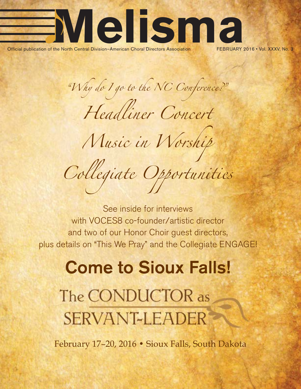

*"Why do I go to the NC Conference?"*

*Headliner Concert*

*Music in Worship*

*Collegiate Opportunities*

See inside for interviews with VOCES8 co-founder/artistic director and two of our Honor Choir guest directors, plus details on "This We Pray" and the Collegiate ENGAGE!

## **Come to Sioux Falls!**

The CONDUCTOR as **SERVANT-LEADER** 

February 17–20, 2016 • Sioux Falls, South Dakota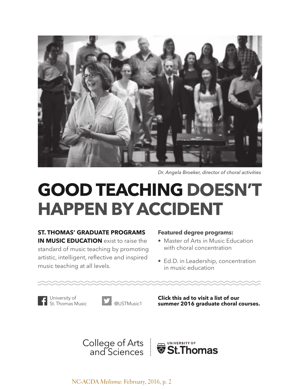

*Dr. Angela Broeker, director of choral activities*

## **[GOOD TEACHING DOESN'T](http://www.stthomas.edu/music/graduate/courses/choral/?utm_source=melisma&utm_medium=journal&utm_campaign=melisma)  HAPPEN BY ACCIDENT**

**ST. THOMAS' GRADUATE PROGRAMS IN MUSIC EDUCATION** exist to raise the standard of music teaching by promoting artistic, intelligent, reflective and inspired music teaching at all levels.

#### **Featured degree programs:**

- Master of Arts in Music Education with choral concentration
- Ed.D. in Leadership, concentration in music education

University of<br>St Thomas Music



**Click this ad to visit a list of our summer 2016 graduate choral courses.**

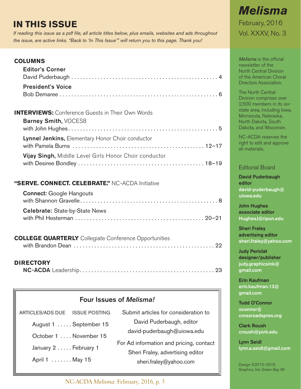#### <span id="page-2-0"></span>**IN THIS ISSUE**

*If reading this issue as a pdf file, all article titles below, plus emails, websites and ads throughout the issue, are active links. "Back to 'In This Issue'" will return you to this page. Thank you!*

#### **COLUMNS**

| <b>Editor's Corner</b>   |  |
|--------------------------|--|
| <b>President's Voice</b> |  |

| <b>INTERVIEWS:</b> Conference Guests in Their Own Words |  |
|---------------------------------------------------------|--|
| Barney Smith, VOCES8                                    |  |
| Lynnel Jenkins, Elementary Honor Choir conductor        |  |
| Vijay Singh, Middle Level Girls Honor Choir conductor   |  |

#### **"SERVE. CONNECT. CELEBRATE."** NC-ACDA Initiative

| <b>Connect:</b> Google Hangouts       |  |
|---------------------------------------|--|
| <b>Celebrate: State-by-State News</b> |  |

#### **[COLLEGE QUARTERLY](#page-21-0)** Collegiate Conference Opportunities

|--|--|--|--|

#### **DIRECTORY**

匠

|--|--|

| Four Issues of <i>Melisma!</i> |                                                            |                                         |  |
|--------------------------------|------------------------------------------------------------|-----------------------------------------|--|
| ARTICLES/ADS DUE ISSUE POSTING |                                                            | Submit articles for consideration to    |  |
|                                | August 1  September 15                                     | David Puderbaugh, editor                |  |
| October 1  November 15         |                                                            | david-puderbaugh@uiowa.edu              |  |
| January 2 February 1           |                                                            | For Ad information and pricing, contact |  |
| April 1 May 15                 | Sheri Fraley, advertising editor<br>sheri.fraley@yahoo.com |                                         |  |

**Erin Kaufman [erin.kaufman.13@](mailto:erin.kaufman.13@gmail.com) [gmail.com](mailto:erin.kaufman.13@gmail.com)**

**Todd O'Connor [oconnor@](mailto:oconnor@crossroadspres.org) [crossroadspres.org](mailto:oconnor@crossroadspres.org)**

**Clark Roush**

**Lynn Seidl [lynn.a.seidl@gmail.com](mailto:lynn.a.seidl@gmail.com)**

Design ©2015–2016 Graphics, Ink, Green Bay WI

NC-ACDA *Melisma*: February, 2016, p. 3

#### *Melisma* February, 2016 Vol. XXXV, No. 3

*Melisma* is the official newsletter of the North Central Division of the American Choral Directors Association.

The North Central Division comprises over 2,500 members in its sixstate area, including Iowa, Minnesota, Nebraska, North Dakota, South Dakota, and Wisconsin.

NC-ACDA reserves the right to edit and approve all materials.

#### Editorial Board

**David Puderbaugh editor [david-puderbaugh@](mailto:david-puderbaugh@uiowa.edu) [uiowa.edu](mailto:david-puderbaugh@uiowa.edu)**

**John Hughes associate editor [HughesJ@ripon.edu](mailto:HughesJ@ripon.edu)**

**Sheri Fraley advertising editor [sheri.fraley@yahoo.com](mailto:sheri.fraley@yahoo.com)**

**Judy Periolat designer/publisher [judy.graphicsink@](mailto:judy.graphicsink@gmail.com) [gmail.com](mailto:judy.graphicsink@gmail.com)**

**[croush@york.edu](mailto:croush@york.edu)**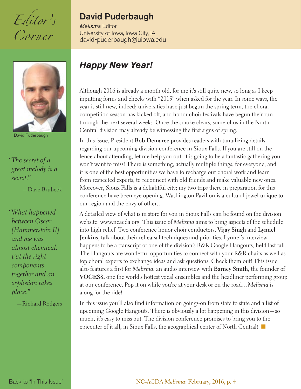<span id="page-3-0"></span>*Editor's Corner*



David Puderbaugh

*"The secret of a great melody is a secret."*

—Dave Brubeck

*"What happened between Oscar [Hammerstein II] and me was almost chemical. Put the right components together and an explosion takes place."* 

—Richard Rodgers

#### **David Puderbaugh**

*Melisma* Editor University of Iowa, Iowa City, IA [david-puderbaugh@uiowa.edu](mailto:david-puderbaugh@uiowa.edu)

#### *Happy New Year!*

Although 2016 is already a month old, for me it's still quite new, so long as I keep inputting forms and checks with "2015" when asked for the year. In some ways, the year is still new, indeed; universities have just begun the spring term, the choral competition season has kicked off, and honor choir festivals have begun their run through the next several weeks. Once the smoke clears, some of us in the North Central division may already be witnessing the first signs of spring.

In this issue, President **Bob Demaree** provides readers with tantalizing details regarding our upcoming division conference in Sioux Falls. If you are still on the fence about attending, let me help you out: it is going to be a fantastic gathering you won't want to miss! There is something, actually multiple things, for everyone, and it is one of the best opportunities we have to recharge our choral work and learn from respected experts, to reconnect with old friends and make valuable new ones. Moreover, Sioux Falls is a delightful city; my two trips there in preparation for this conference have been eye-opening. Washington Pavilion is a cultural jewel unique to our region and the envy of others.

A detailed view of what is in store for you in Sioux Falls can be found on the division website: www.ncacda.org. This issue of *Melisma* aims to bring aspects of the schedule into high relief. Two conference honor choir conductors, **Vijay Singh** and **Lynnel Jenkins,** talk about their rehearsal techniques and priorities. Lynnel's interview happens to be a transcript of one of the division's R&R Google Hangouts, held last fall. The Hangouts are wonderful opportunities to connect with your R&R chairs as well as top choral experts to exchange ideas and ask questions. Check them out! This issue also features a first for *Melisma:* an audio interview with **Barney Smith,** the founder of **VOCES8,** one the world's hottest vocal ensembles and the headliner performing group at our conference. Pop it on while you're at your desk or on the road…*Melisma* is along for the ride!

In this issue you'll also find information on goings-on from state to state and a list of upcoming Google Hangouts. There is obviously a lot happening in this division—so much, it's easy to miss out. The division conference promises to bring you to the epicenter of it all, in Sioux Falls, the geographical center of North Central!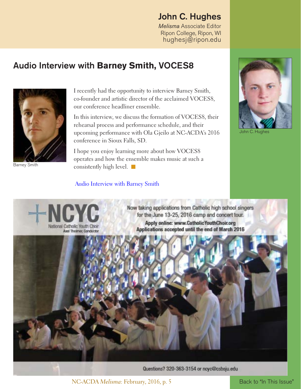#### **John C. Hughes**

*Melisma* Associate Editor Ripon College, Ripon, WI [hughesj@ripon.edu](mailto:hughesj@ripon.edu)

#### <span id="page-4-0"></span>**Audio Interview with Barney Smith, VOCES8**



Barney Smith

I recently had the opportunity to interview Barney Smith, co-founder and artistic director of the acclaimed VOCES8, our conference headliner ensemble.

In this interview, we discuss the formation of VOCES8, their rehearsal process and performance schedule, and their upcoming performance with Ola Gjeilo at NC-ACDA's 2016 conference in Sioux Falls, SD.

I hope you enjoy learning more about how VOCES8 operates and how the ensemble makes music at such a consistently high level.  $\blacksquare$ 

#### [Audio Interview with Barney Smith](http://www.ncacda.org/barney-smith-interview)



ohn C. Hughes



Now taking applications from Catholic high school singers for the June 13-25, 2016 camp and concert tour. Apply online: www.CatholicYouthChoir.org Applications accepted until the end of March 2016



Questions? 320-363-3154 or ncyc@csbsju.edu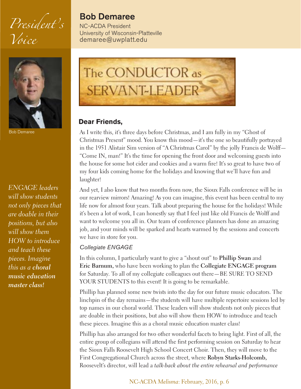<span id="page-5-0"></span>*President's Voice*



Bob Demaree

*ENGAGE leaders will show students not only pieces that are doable in their positions, but also will show them HOW to introduce and teach these pieces. Imagine this as a choral music education master class!*

#### **Bob Demaree**

NC-ACDA President University of Wisconsin-Platteville [demaree@uwplatt.edu](mailto:demaree@uwplatt.edu)



#### **Dear Friends,**

As I write this, it's three days before Christmas, and I am fully in my "Ghost of Christmas Present" mood. You know this mood—it's the one so beautifully portrayed in the 1951 Alistair Sim version of "A Christmas Carol" by the jolly Francis de Wolff— "Come IN, man!" It's the time for opening the front door and welcoming guests into the house for some hot cider and cookies and a warm fire! It's so great to have two of my four kids coming home for the holidays and knowing that we'll have fun and laughter!

And yet, I also know that two months from now, the Sioux Falls conference will be in our rearview mirrors! Amazing! As you can imagine, this event has been central to my life now for almost four years. Talk about preparing the house for the holidays! While it's been a lot of work, I can honestly say that I feel just like old Francis de Wolff and want to welcome you all in. Our team of conference planners has done an amazing job, and your minds will be sparked and hearts warmed by the sessions and concerts we have in store for you.

#### *Collegiate ENGAGE*

In this column, I particularly want to give a "shout out" to **Phillip Swan** and **Eric Barnum,** who have been working to plan the **Collegiate ENGAGE program** for Saturday. To all of my collegiate colleagues out there—BE SURE TO SEND YOUR STUDENTS to this event! It is going to be remarkable.

Phillip has planned some new twists into the day for our future music educators. The linchpin of the day remains—the students will have multiple repertoire sessions led by top names in our choral world. These leaders will show students not only pieces that are doable in their positions, but also will show them HOW to introduce and teach these pieces. Imagine this as a choral music education master class!

Phillip has also arranged for two other wonderful facets to bring light. First of all, the entire group of collegians will attend the first performing session on Saturday to hear the Sioux Falls Roosevelt High School Concert Choir. Then, they will move to the First Congregational Church across the street, where **Robyn Starks-Holcomb,** Roosevelt's director, will lead a *talk-back about the entire rehearsal and performance*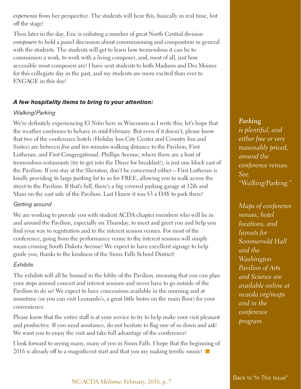*experience* from her perspective. The students will hear this, basically in real time, hot off the stage!

Then later in the day, Eric is enlisting a number of great North Central division *composers* to hold a panel discussion about commissioning and composition in general with the students. The students will get to learn how tremendous it can be to commission a work, to work with a living composer, and, most of all, just how accessible most composers are! I have sent students to both Madison and Des Moines for this collegiate day in the past, and my students are more excited than ever to ENGAGE in this day!

#### *A few hospitality items to bring to your attention:*

#### *Walking/Parking*

We're definitely experiencing El Niño here in Wisconsin as I write this; let's hope that the weather continues to behave in mid-February. But even if it doesn't, please know that two of the conference hotels (Holiday Inn City Center and Country Inn and Suites) are between *five and ten minutes* walking distance to the Pavilion, First Lutheran, and First Congregational. Phillips Avenue, where there are a host of tremendous restaurants (try to get into the Diner for breakfast!), is just one block east of the Pavilion. If you stay at the Sheraton, don't be concerned either—First Lutheran is kindly providing its large *parking lot* to us for FREE, allowing you to walk across the street to the Pavilion. If that's full, there's a big covered parking garage at 12th and Main on the east side of the Pavilion. Last I knew it was \$3 a DAY to park there!

#### *Getting around*

We are working to provide you with student ACDA chapter members who will be in and around the Pavilion, especially on Thursday, to meet and greet you and help you find your way to registration and to the interest session venues. For most of the conference, going from the performance venue to the interest sessions will simply mean crossing South Dakota Avenue! We expect to have excellent signage to help guide you, thanks to the kindness of the Sioux Falls School District!

#### *Exhibits*

The exhibits will all be housed in the lobby of the Pavilion, meaning that you can plan your stops around concert and interest sessions and never have to go outside of the Pavilion to do so! We expect to have concessions available in the morning and at noontime (or you can visit Leonardo's, a great little bistro on the main floor) for your convenience.

Please know that the entire staff is at your service to try to help make your visit pleasant and productive. If you need assistance, do not hesitate to flag one of us down and ask! We want you to enjoy the visit and take full advantage of the conference!

I look forward to seeing many, many of you in Sioux Falls. I hope that the beginning of 2016 is already off to a magnificent start and that you are making terrific music!

*Parking is plentiful, and either free or very reasonably priced, around the conference venues. See: "Walking/Parking."*

*Maps of conference venues, hotel locations, and layouts for Sommervold Hall and the Washington Pavilion of Arts and Science are available online at ncacda.org/maps and in the conference program.*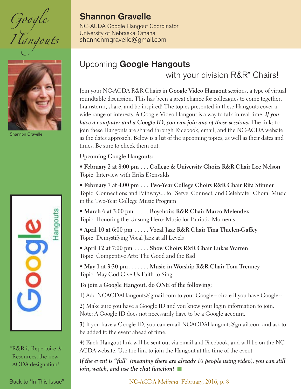<span id="page-7-0"></span>*Google Hangouts*



hannon Gravelle



\*R&R is Repertoire & Resources, the new ACDA designation!

#### **Shannon Gravelle**

NC-ACDA Google Hangout Coordinator University of Nebraska-Omaha [shannonmgravelle@gmail.com](mailto:shannonmgravelle@gmail.com)

#### Upcoming **Google Hangouts**

with your division R&R<sup>\*</sup> Chairs!

Join your NC-ACDA R&R Chairs in **Google Video Hangout** sessions, a type of virtual roundtable discussion. This has been a great chance for colleagues to come together, brainstorm, share, and be inspired! The topics presented in these Hangouts cover a wide range of interests. A Google Video Hangout is a way to talk in real-time. *If you have a computer and a Google ID, you can join any of these sessions.* The links to join these Hangouts are shared through Facebook, email, and the NC-ACDA website as the dates approach. Below is a list of the upcoming topics, as well as their dates and times. Be sure to check them out!

#### **Upcoming Google Hangouts:**

**• February 2 at 8:00 pm** . . . **College & University Choirs R&R Chair Lee Nelson** Topic: Interview with Eriks Ešenvalds

**• February 7 at 4:00 pm** . . . **Two-Year College Choirs R&R Chair Rita Stinner** Topic: Connections and Pathways... to "Serve, Connect, and Celebrate" Choral Music in the Two-Year College Music Program

**• March 6 at 3:00 pm** . . . . . **Boychoirs R&R Chair Marco Melendez** Topic: Honoring the Unsung Hero: Music for Patriotic Moments

**• April 10 at 6:00 pm** . . . . . **Vocal Jazz R&R Chair Tina Thielen-Gaffey** Topic: Demystifying Vocal Jazz at all Levels

**• April 12 at 7:00 pm** . . . . . **Show Choirs R&R Chair Lukas Warren** Topic: Competitive Arts: The Good and the Bad

**• May 1 at 3:30 pm** . . . . . . . **Music in Worship R&R Chair Tom Trenney** Topic: May God Give Us Faith to Sing

**To join a Google Hangout, do ONE of the following:**

**1)** Add NCACDAHangouts@gmail.com to your Google+ circle if you have Google+.

**2)** Make sure you have a Google ID and you know your login information to join. Note: A Google ID does not necessarily have to be a Google account.

**3)** If you have a Google ID, you can email NCACDAHangouts@gmail.com and ask to be added to the event ahead of time.

**4)** Each Hangout link will be sent out via email and Facebook, and will be on the NC-ACDA website. Use the link to join the Hangout at the time of the event.

*If the event is "full" (meaning there are already 10 people using video), you can still join, watch, and use the chat function!* 

[Back to "In This Issue"](#page-2-0) NO-ACDA *Melisma*: February, 2016, p. 8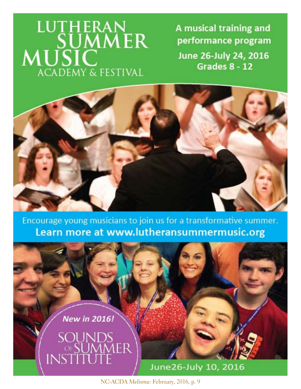# LUTHERAN<br>SUMMER<br>MUSIC **ACADEMY & FESTIVAL**

A musical training and performance program June 26-July 24, 2016 Grades 8 - 12



Encourage young musicians to join us for a transformative summer. Learn more at www.lutheransummermusic.org

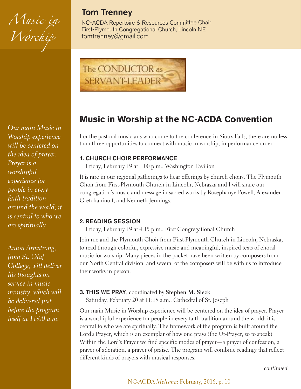*Music in Worchip*

*Our main Music in Worship experience will be centered on the idea of prayer. Prayer is a worshipful experience for people in every faith tradition around the world; it is central to who we are spiritually.*

*Anton Armstrong, from St. Olaf College, will deliver his thoughts on service in music ministry, which will be delivered just before the program itself at 11:00 a.m.*

#### **Tom Trenney**

NC-ACDA Repertoire & Resources Committee Chair First-Plymouth Congregational Church, Lincoln NE [tomtrenney@gmail.com](mailto:tomtrenney@gmail.com)



#### **Music in Worship at the NC-ACDA Convention**

For the pastoral musicians who come to the conference in Sioux Falls, there are no less than three opportunities to connect with music in worship, in performance order:

#### **1. CHURCH CHOIR PERFORMANCE**

Friday, February 19 at 1:00 p.m., Washington Pavilion

It is rare in our regional gatherings to hear offerings by church choirs. The Plymouth Choir from First-Plymouth Church in Lincoln, Nebraska and I will share our congregation's music and message in sacred works by Rosephanye Powell, Alexander Gretchaninoff, and Kenneth Jennings.

#### **2. READING SESSION**

Friday, February 19 at 4:15 p.m., First Congregational Church

Join me and the Plymouth Choir from First-Plymouth Church in Lincoln, Nebraska, to read through colorful, expressive music and meaningful, inspired texts of choral music for worship. Many pieces in the packet have been written by composers from our North Central division, and several of the composers will be with us to introduce their works in person.

#### **3. THIS WE PRAY**, coordinated by **Stephen M. Sieck**

Saturday, February 20 at 11:15 a.m., Cathedral of St. Joseph

Our main Music in Worship experience will be centered on the idea of prayer. Prayer is a worshipful experience for people in every faith tradition around the world; it is central to who we are spiritually. The framework of the program is built around the Lord's Prayer, which is an exemplar of how one prays (the Ur-Prayer, so to speak). Within the Lord's Prayer we find specific modes of prayer—a prayer of confession, a prayer of adoration, a prayer of praise. The program will combine readings that reflect different kinds of prayers with musical responses.

*continued*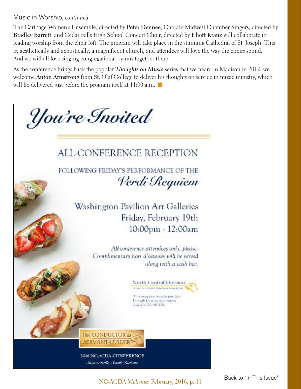#### Music in Worship, *continued*

The Carthage Women's Ensemble, directed by **Peter Dennee**; Chorale Midwest Chamber Singers, directed by **Bradley Barrett**; and Cedar Falls High School Concert Choir, directed by **Eliott Kranz** will collaborate in leading worship from the choir loft. The program will take place in the stunning Cathedral of St. Joseph. This is, aesthetically and acoustically, a magnificent church, and attendees will love the way the choirs sound. And we will all love singing congregational hymns together there!

As the conference brings back the popular *Thoughts on Music* series that we heard in Madison in 2012, we welcome **Anton Armstrong** from St. Olaf College to deliver his thoughts on service in music ministry, which will be delivered just before the program itself at  $11:00$  a.m.  $\blacksquare$ 



NC-ACDA *Melisma*: February, 2016, p. 11 [Back to "In This Issue"](#page-2-0)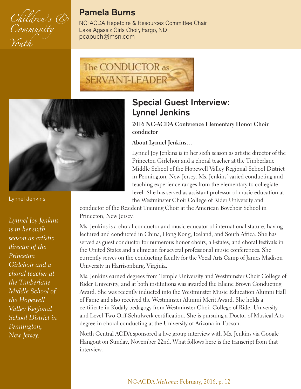<span id="page-11-0"></span>

#### **Pamela Burns**

NC-ACDA Repetoire & Resources Committee Chair Lake Agassiz Girls Choir, Fargo, ND [pcapuch@msn.com](mailto:pacapuch@msn.com)





#### **Special Guest Interview: Lynnel Jenkins**

#### **2016 NC-ACDA Conference Elementary Honor Choir conductor**

#### **About Lynnel Jenkins…**

Lynnel Joy Jenkins is in her sixth season as artistic director of the Princeton Girlchoir and a choral teacher at the Timberlane Middle School of the Hopewell Valley Regional School District in Pennington, New Jersey. Ms. Jenkins' varied conducting and teaching experience ranges from the elementary to collegiate level. She has served as assistant professor of music education at the Westminster Choir College of Rider University and

conductor of the Resident Training Choir at the American Boychoir School in Princeton, New Jersey.

Ms. Jenkins is a choral conductor and music educator of international stature, having lectured and conducted in China, Hong Kong, Iceland, and South Africa. She has served as guest conductor for numerous honor choirs, all-states, and choral festivals in the United States and a clinician for several professional music conferences. She currently serves on the conducting faculty for the Vocal Arts Camp of James Madison University in Harrisonburg, Virginia.

Ms. Jenkins earned degrees from Temple University and Westminster Choir College of Rider University, and at both institutions was awarded the Elaine Brown Conducting Award. She was recently inducted into the Westminster Music Education Alumni Hall of Fame and also received the Westminster Alumni Merit Award. She holds a certificate in Kodály pedagogy from Westminster Choir College of Rider University and Level Two Orff-Schulwerk certification. She is pursuing a Doctor of Musical Arts degree in choral conducting at the University of Arizona in Tucson.

North Central ACDA sponsored a live group interview with Ms. Jenkins via Google Hangout on Sunday, November 22nd. What follows here is the transcript from that interview.

Lynnel Jenkins

*Lynnel Joy Jenkins is in her sixth season as artistic director of the Princeton Girlchoir and a choral teacher at the Timberlane Middle School of the Hopewell Valley Regional School District in Pennington, New Jersey.*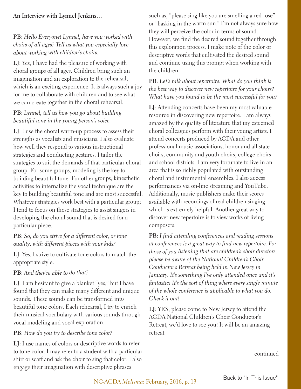#### **An Interview with Lynnel Jenkins…**

#### **PB**: *Hello Everyone! Lynnel, have you worked with choirs of all ages? Tell us what you especially love about working with children's choirs.*

**LJ**: Yes, I have had the pleasure of working with choral groups of all ages. Children bring such an imagination and an exploration to the rehearsal, which is an exciting experience. It is always such a joy for me to collaborate with children and to see what we can create together in the choral rehearsal.

#### **PB**: *Lynnel, tell us how you go about building beautiful tone in the young person's voice.*

**LJ**: I use the choral warm-up process to assess their strengths as vocalists and musicians. I also evaluate how well they respond to various instructional strategies and conducting gestures. I tailor the strategies to suit the demands of that particular choral group. For some groups, modeling is the key to building beautiful tone. For other groups, kinesthetic activities to internalize the vocal technique are the key to building beautiful tone and are most successful. Whatever strategies work best with a particular group; I tend to focus on those strategies to assist singers in developing the choral sound that is desired for a particular piece.

#### **PB**: *So, do you strive for a different color, or tone quality, with different pieces with your kids?*

**LJ**: Yes, I strive to cultivate tone colors to match the appropriate style.

#### **PB**: *And they're able to do that?*

**LJ**: I am hesitant to give a blanket "yes," but I have found that they can make many different and unique sounds. These sounds can be transformed into beautiful tone colors. Each rehearsal, I try to enrich their musical vocabulary with various sounds through vocal modeling and vocal exploration.

#### **PB**: *How do you try to describe tone color?*

**LJ**: I use names of colors or descriptive words to refer to tone color. I may refer to a student with a particular shirt or scarf and ask the choir to sing that color. I also engage their imagination with descriptive phrases

such as, "please sing like you are smelling a red rose" or "basking in the warm sun." I'm not always sure how they will perceive the color in terms of sound. However, we find the desired sound together through this exploration process. I make note of the color or descriptive words that cultivated the desired sound and continue using this prompt when working with the children.

#### **PB**: *Let's talk about repertoire. What do you think is the best way to discover new repertoire for your choirs? What have you found to be the most successful for you?*

**LJ**: Attending concerts have been my most valuable resource in discovering new repertoire. I am always amazed by the quality of literature that my esteemed choral colleagues perform with their young artists. I attend concerts produced by ACDA and other professional music associations, honor and all-state choirs, community and youth choirs, college choirs and school districts. I am very fortunate to live in an area that is so richly populated with outstanding choral and instrumental ensembles. I also access performances via on-line streaming and YouTube. Additionally, music publishers make their scores available with recordings of real children singing which is extremely helpful. Another great way to discover new repertoire is to view works of living composers.

**PB**: *I find attending conferences and reading sessions at conferences is a great way to find new repertoire. For those of you listening that are children's choir directors, please be aware of the National Children's Choir Conductor's Retreat being held in New Jersey in January. It's something I've only attended once and it's fantastic! It's the sort of thing where every single minute of the whole conference is applicable to what you do. Check it out!*

**LJ**: YES, please come to New Jersey to attend the ACDA National Children's Choir Conductor's Retreat, we'd love to see you! It will be an amazing retreat.

continued

NC-ACDA *Melisma*: February, 2016, p. 13 [Back to "In This Issue"](#page-2-0)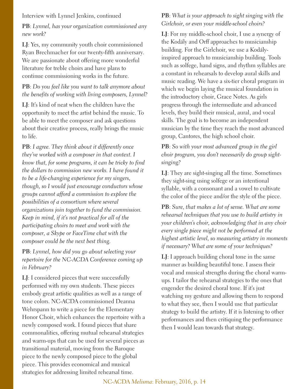Interview with Lynnel Jenkins, continued

**PB**: *Lynnel, has your organization commissioned any new work?*

**LJ**: Yes, my community youth choir commissioned Ryan Brechmacher for our twenty-fifth anniversary. We are passionate about offering more wonderful literature for treble choirs and have plans to continue commissioning works in the future.

#### **PB**: *Do you feel like you want to talk anymore about the benefits of working with living composers, Lynnel?*

**LJ**: It's kind of neat when the children have the opportunity to meet the artist behind the music. To be able to meet the composer and ask questions about their creative process, really brings the music to life.

**PB**: *I agree. They think about it differently once they've worked with a composer in that context. I know that, for some programs, it can be tricky to find the dollars to commission new works. I have found it to be a life-changing experience for my singers, though, so I would just encourage conductors whose groups cannot afford a commission to explore the possibilities of a consortium where several organizations join together to fund the commission. Keep in mind, if it's not practical for all of the participating choirs to meet and work with the composer, a Skype or FaceTime chat with the composer could be the next best thing.* 

**PB**: *Lynnel, how did you go about selecting your repertoire for the NC-ACDA Conference coming up in February?*

**LJ**: I considered pieces that were successfully performed with my own students. These pieces embody great artistic qualities as well as a range of tone colors. NC-ACDA commissioned Deanna Wehrspann to write a piece for the Elementary Honor Choir, which enhances the repertoire with a newly composed work. I found pieces that share commonalities, offering mutual rehearsal strategies and warm-ups that can be used for several pieces as transitional material, moving from the Baroque piece to the newly composed piece to the global piece. This provides economical and musical strategies for addressing limited rehearsal time.

#### **PB**: *What is your approach to sight singing with the Girlchoir, or even your middle-school choirs?*

**LJ**: For my middle-school choir, I use a synergy of the Kodály and Orff approaches to musicianship building. For the Girlchoir, we use a Kodályinspired approach to musicianship building. Tools such as solfege, hand signs, and rhythm syllables are a constant in rehearsals to develop aural skills and music reading. We have a six-tier choral program in which we begin laying the musical foundation in the introductory choir, Grace Notes. As girls progress through the intermediate and advanced levels, they build their musical, aural, and vocal skills. The goal is to become an independent musician by the time they reach the most advanced group, Cantores, the high school choir.

**PB**: *So with your most advanced group in the girl choir program, you don't necessarily do group sightsinging?*

**LJ**: They are sight-singing all the time. Sometimes they sight-sing using solfege or an intentional syllable, with a consonant and a vowel to cultivate the color of the piece and/or the style of the piece.

**PB**: *Sure, that makes a lot of sense. What are some rehearsal techniques that you use to build artistry in your children's choir, acknowledging that in any choir every single piece might not be performed at the highest artistic level, so measuring artistry in moments if necessary? What are some of your techniques?*

**LJ**: I approach building choral tone in the same manner as building beautiful tone. I assess their vocal and musical strengths during the choral warmups. I tailor the rehearsal strategies to the ones that engender the desired choral tone. If it's just watching my gesture and allowing them to respond to what they see, then I would use that particular strategy to build the artistry. If it is listening to other performances and then critiquing the performance then I would lean towards that strategy.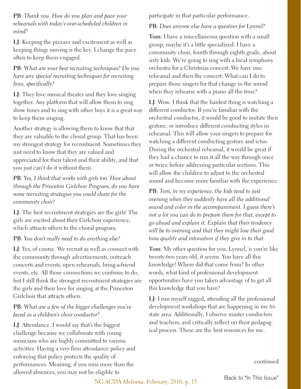**PB**: *Thank you. How do you plan and pace your rehearsals with today's over-scheduled children in mind?* 

**LJ**: Keeping the pizzazz and excitement as well as keeping things moving is the key. I change the pace often to keep them engaged.

#### **PB**: *What are your best recruiting techniques? Do you have any special recruiting techniques for recruiting boys, specifically?*

**LJ**: They love musical theater and they love singing together. Any platform that will allow them to sing show tunes and to sing with other boys it is a great way to keep them singing.

Another strategy is allowing them to know that that they are valuable to the choral group. That has been my strongest strategy for recruitment. Sometimes they just need to know that they are valued and appreciated for their talent and their ability, and that you just can't do it without them.

**PB**: *Yes, I think that works with girls too. How about through the Princeton Girlchoir Program, do you have some recruiting strategies you could share for the community choir?*

**LJ**: The best recruitment strategies are the girls! The girls are excited about their Girlchoir experience, which attracts others to the choral program.

#### **PB**: *You don't really need to do anything else?*

**LJ**: Yes, of course. We recruit as well as connect with the community through advertisements, outreach concerts and events, open rehearsals, bring-a-friend events, etc. All those connections we continue to do, but I still think the strongest recruitment strategies are the girls and their love for singing at the Princeton Girlchoir that attracts others.

#### **PB**: *What are a few of the bigger challenges you've faced as a children's choir conductor?*

**LJ**: Attendance. I would say that's the biggest challenge because we collaborate with young musicians who are highly committed to various activities. Having a very firm attendance policy and enforcing that policy protects the quality of performances. Meaning, if you miss more than the allowed absences, you may not be eligible to

participate in that particular performance.

#### **PB**: *Does anyone else have a question for Lynnel?*

**Tom**: I have a miscellaneous question with a small group; maybe it's a little specialized. I have a community choir, fourth through eighth grade, about sixty kids. We're going to sing with a local symphony orchestra for a Christmas concert. We have one rehearsal and then the concert. What can I do to prepare those singers for that change in the sound when they rehearse with a piano all the time?

**LJ**: Wow. I think that the hardest thing is watching a different conductor. If you're familiar with the orchestral conductor, it would be good to imitate their gesture, or introduce different conducting styles in rehearsal. This will allow your singers to prepare for watching a different conducting gesture and ictus. During the orchestral rehearsal, it would be great if they had a chance to run it all the way through once or twice before addressing particular sections. This will allow the children to adjust to the orchestral sound and become more familiar with the experience.

**PB**: *Tom, in my experience, the kids tend to just oversing when they suddenly have all the additional sound and color in the accompaniment. I guess there's not a lot you can do to prepare them for that, except to go ahead and explain it. Explain that their tendency will be to oversing and that they might lose their good tone quality and intonation if they give in to that.* 

**Tom**: My other question for you, Lynnel, is you're like twenty-two years old, it seems. You have all this knowledge! Where did that come from? In other words, what kind of professional development opportunities have you taken advantage of to get all this knowledge that you have?

**LJ**: I run myself ragged, attending all the professional development workshops that are happening in my tristate area. Additionally, I observe master conductors and teachers, and critically reflect on their pedagogical process. These are the best resources for me.

continued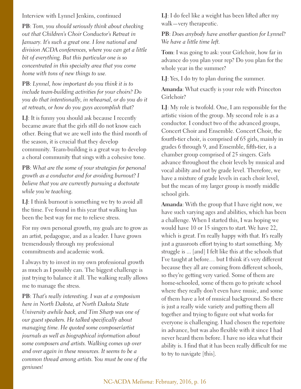#### Interview with Lynnel Jenkins, continued

**PB**: *Tom, you should seriously think about checking out that Children's Choir Conductor's Retreat in January. It's such a great one. I love national and division ACDA conferences, where you can get a little bit of everything. But this particular one is so concentrated in this specialty area that you come home with tons of new things to use.*

**PB**: *Lynnel, how important do you think it is to include team-building activities for your choirs? Do you do that intentionally, in rehearsal, or do you do it at retreats, or how do you guys accomplish that?*

**LJ**: It is funny you should ask because I recently became aware that the girls still do not know each other. Being that we are well into the third month of the season, it is crucial that they develop community. Team-building is a great way to develop a choral community that sings with a cohesive tone.

**PB**: *What are the some of your strategies for personal growth as a conductor and for avoiding burnout? I believe that you are currently pursuing a doctorate while you're teaching.* 

**LJ**: I think burnout is something we try to avoid all the time. I've found in this year that walking has been the best way for me to relieve stress.

For my own personal growth, my goals are to grow as an artist, pedagogue, and as a leader. I have grown tremendously through my professional commitments and academic work.

I always try to invest in my own professional growth as much as I possibly can. The biggest challenge is just trying to balance it all. The walking really allows me to manage the stress.

**PB**: *That's really interesting. I was at a symposium here in North Dakota, at North Dakota State University awhile back, and Tim Sharp was one of our guest speakers. He talked specifically about managing time. He quoted some composer/artist journals as well as biographical information about some composers and artists. Walking comes up over and over again in these resources. It seems to be a common thread among artists. You must be one of the geniuses!*

**LJ**: I do feel like a weight has been lifted after my walk—very therapeutic.

#### **PB**: *Does anybody have another question for Lynnel? We have a little time left.*

**Tom**: I was going to ask: your Girlchoir, how far in advance do you plan your rep? Do you plan for the whole year in the summer?

**LJ**: Yes, I do try to plan during the summer.

**Amanda**: What exactly is your role with Princeton Girlchoir?

**LJ**: My role is twofold. One, I am responsible for the artistic vision of the group. My second role is as a conductor. I conduct two of the advanced groups, Concert Choir and Ensemble. Concert Choir, the fourth-tier choir, is comprised of 65 girls, mainly in grades 6 through 9, and Ensemble, fifth-tier, is a chamber group comprised of 25 singers. Girls advance throughout the choir levels by musical and vocal ability and not by grade level. Therefore, we have a mixture of grade levels in each choir level, but the mean of my larger group is mostly middle school girls.

**Amanda**: With the group that I have right now, we have such varying ages and abilities, which has been a challenge. When I started this, I was hoping we would have 10 or 15 singers to start. We have 22, which is great. I'm really happy with that. It's really just a grassroots effort trying to start something. My struggle is ... [and] I felt like this at the schools that I've taught at before… but I think it's very different because they all are coming from different schools, so they're getting very varied. Some of them are home-schooled, some of them go to private school where they really don't even have music, and some of them have a lot of musical background. So there is just a really wide variety and putting them all together and trying to figure out what works for everyone is challenging. I had chosen the repertoire in advance, but was also flexible with it since I had never heard them before. I have no idea what their ability is. I find that it has been really difficult for me to try to navigate [this].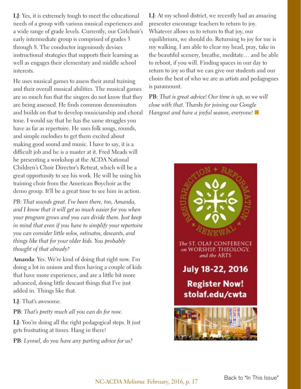**LJ**: Yes, it is extremely tough to meet the educational needs of a group with various musical experiences and a wide range of grade levels. Currently, our Girlchoir's early intermediate group is comprised of grades 3 through 8. The conductor ingeniously devises instructional strategies that supports their learning as well as engages their elementary and middle school interests.

He uses musical games to assess their aural training and their overall musical abilities. The musical games are so much fun that the singers do not know that they are being assessed. He finds common denominators and builds on that to develop musicianship and choral tone. I would say that he has the same struggles you have as far as repertoire. He uses folk songs, rounds, and simple melodies to get them excited about making good sound and music. I have to say, it is a difficult job and he is a master at it. Fred Meads will be presenting a workshop at the ACDA National Children's Choir Director's Retreat, which will be a great opportunity to see his work. He will be using his training choir from the American Boychoir as the demo group. It'll be a great time to see him in action.

*PB: That sounds great. I've been there, too, Amanda, and I know that it will get so much easier for you when your program grows and you can divide them. Just keep in mind that even if you have to simplify your repertoire you can consider little solos, ostinatos, descants, and things like that for your older kids. You probably thought of that already?*

**Amanda**: Yes. We're kind of doing that right now. I'm doing a lot in unison and then having a couple of kids that have more experience, and are a little bit more advanced, doing little descant things that I've just added in. Things like that.

**LJ**: That's awesome.

**PB**: *That's pretty much all you can do for now.* 

**LJ**: You're doing all the right pedagogical steps. It just gets frustrating at times. Hang in there!

**PB**: *Lynnel, do you have any parting advice for us?*

**LJ**: At my school district, we recently had an amazing presenter encourage teachers to return to joy. Whatever allows us to return to that joy, our equilibrium, we should do. Returning to joy for me is my walking. I am able to clear my head, pray, take in the beautiful scenery, breathe, meditate… and be able to reboot, if you will. Finding spaces in our day to return to joy so that we can give our students and our choirs the best of who we are as artists and pedagogues is paramount.

**PB**: *That is great advice! Our time is up, so we will close with that. Thanks for joining our Google Hangout and have a joyful season, everyone!* n

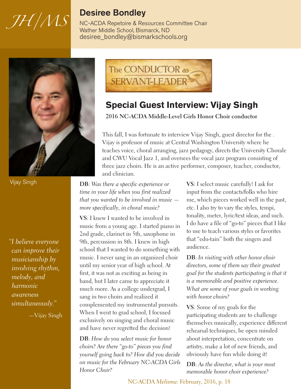# <span id="page-17-0"></span>*JH/MS*

#### **Desiree Bondley**

NC-ACDA Repetoire & Resources Committee Chair Wather Middle School, Bismarck, ND [desiree\\_bondley@bismarkschools.org](mailto:desiree_bondley@bismarckschools.org)



Vijay Singh

*"I believe everyone can improve their musicianship by involving rhythm, melody, and harmonic awareness simultaneously."*

—Vijay Singh



#### **Special Guest Interview: Vijay Singh**

**2016 NC-ACDA Middle-Level Girls Honor Choir conductor**

This fall, I was fortunate to interview Vijay Singh, guest director for the . Vijay is professor of music at Central Washington University where he teaches voice, choral arranging, jazz pedagogy, directs the University Chorale and CWU Vocal Jazz 1, and oversees the vocal jazz program consisting of three jazz choirs. He is an active performer, composer, teacher, conductor, and clinician.

**DB**: *Was there a specific experience or time in your life when you first realized that you wanted to be involved in music more specifically, in choral music?*

**VS**: I knew I wanted to be involved in music from a young age. I started piano in 2nd grade, clarinet in 5th, saxophone in 9th, percussion in 8th. I knew in high school that I wanted to do something with music. I never sang in an organized choir until my senior year of high school. At first, it was not as exciting as being in band, but I later came to appreciate it much more. As a college undergrad, I sang in two choirs and realized it complemented my instrumental pursuits. When I went to grad school, I focused exclusively on singing and choral music and have never regretted the decision!

**DB**: *How do you select music for honor choirs? Are there "go-to" pieces you find yourself going back to? How did you decide on music for the February NC-ACDA Girls Honor Choir?*

**VS**: I select music carefully! I ask for input from the contacts/folks who hire me, which pieces worked well in the past, etc. I also try to vary the styles, tempi, tonality, meter, lyric/text ideas, and such. I do have a file of "go-to" pieces that I like to use to teach various styles or favorites that "edu-tain" both the singers and audience.

**DB**: *In visiting with other honor choir directors, some of them say their greatest goal for the students participating is that it is a memorable and positive experience. What are some of your goals in working with honor choirs?*

**VS**: Some of my goals for the participating students are to challenge themselves musically, experience different rehearsal techniques, be open minded about interpretation, concentrate on artistry, make a lot of new friends, and obviously have fun while doing it!

**DB**: *As the director, what is your most memorable honor choir experience?*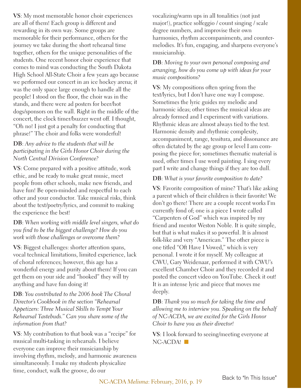**VS**: My most memorable honor choir experiences are all of them! Each group is different and rewarding in its own way. Some groups are memorable for their performance, others for the journey we take during the short rehearsal time together, others for the unique personalities of the students. One recent honor choir experience that comes to mind was conducting the South Dakota High School All-State Choir a few years ago because we performed our concert in an ice hockey arena; it was the only space large enough to handle all the people! I stood on the floor, the choir was in the stands, and there were ad posters for beer/hot dogs/sponsors on the wall. Right in the middle of the concert, the clock timer/buzzer went off. I thought, "Oh no! I just got a penalty for conducting that phrase!" The choir and folks were wonderful!

#### **DB**: *Any advice to the students that will be participating in the Girls Honor Choir during the North Central Division Conference?*

**VS**: Come prepared with a positive attitude, work ethic, and be ready to make great music, meet people from other schools, make new friends, and have fun! Be open-minded and respectful to each other and your conductor. Take musical risks, think about the text/poetry/lyrics, and commit to making the experience the best!

#### **DB**: *When working with middle level singers, what do you find to be the biggest challenge? How do you work with those challenges or overcome them?*

**VS**: Biggest challenges: shorter attention spans, vocal technical limitations, limited experience, lack of choral references; however, this age has a wonderful energy and purity about them! If you can get them on your side and "hooked" they will try anything and have fun doing it!

**DB**: *You contributed to the 2006 book The Choral Director's Cookbook in the section "Rehearsal Appetizers: Three Musical Skills to Tempt Your Rehearsal Tastebuds." Can you share some of the information from that?*

**VS**: My contribution to that book was a "recipe" for musical multi-tasking in rehearsals. I believe everyone can improve their musicianship by involving rhythm, melody, and harmonic awareness simultaneously. I make my students physicalize time, conduct, walk the groove, do our

vocalizing/warm ups in all tonalities (not just major!), practice solfeggio / count singing / scale degree numbers, and improvise their own harmonies, rhythm accompaniments, and countermelodies. It's fun, engaging, and sharpens everyone's musicianship.

#### **DB**: *Moving to your own personal composing and arranging, how do you come up with ideas for your music compositions?*

**VS**: My compositions often spring from the text/lyrics, but I don't have one way I compose. Sometimes the lyric guides my melodic and harmonic ideas; other times the musical ideas are already formed and I experiment with variations. Rhythmic ideas are almost always tied to the text. Harmonic density and rhythmic complexity, accompaniment, range, tessitura, and dissonance are often dictated by the age group or level I am composing the piece for; sometimes thematic material is used, other times I use word painting. I sing every part I write and change things if they are too dull.

#### **DB**: *What is your favorite composition to date?*

**VS**: Favorite composition of mine? That's like asking a parent which of their children is their favorite! We don't go there! There are a couple recent works I'm currently fond of; one is a piece I wrote called "Carpenters of God" which was inspired by my friend and mentor Weston Noble. It is quite simple, but that is what makes it so powerful. It is almost folk-like and very "American." The other piece is one titled "Oft Have I Vowed," which is very personal. I wrote it for myself. My colleague at CWU, Gary Weidenaar, performed it with CWU's excellent Chamber Choir and they recorded it and posted the concert video on YouTube. Check it out! It is an intense lyric and piece that moves me deeply.

**DB**: *Thank you so much for taking the time and allowing me to interview you. Speaking on the behalf of NC-ACDA, we are excited for the Girls Honor Choir to have you as their director!*

**VS**: I look forward to seeing/meeting everyone at  $NC$ -ACDA! $\blacksquare$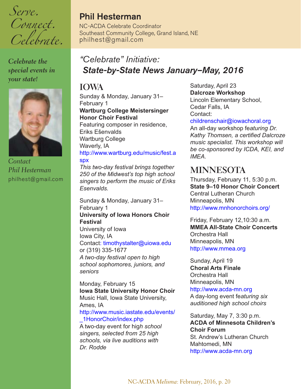<span id="page-19-0"></span>*Serve. Connect. Celebrate.*

*Celebrate the special events in your state!* 



*Contact Phil Hesterman* [philhest@gmail.com](mailto:philhest@gmail.com)

#### **Phil Hesterman**

NC-ACDA Celebrate Coordinator Southeast Community College, Grand Island, NE [philhest@gmail.com](mailto:philhest@gmail.com)

#### *"Celebrate" Initiative: State-by-State News January–May, 2016*

#### **IOWA**

Sunday & Monday, January 31– February 1 **Wartburg College Meistersinger Honor Choir Festival** Featuring composer in residence, Eriks Ešenvalds Wartburg College

#### Waverly, IA [http://www.wartburg.edu/music/fest.a](http://www.wartburg.edu/music/fest.aspx) [spx](http://www.wartburg.edu/music/fest.aspx)

*This two-day festival brings together 250 of the Midwest's top high school singers to perform the music of Eriks Esenvalds.*

Sunday & Monday, January 31– February 1 **University of Iowa Honors Choir Festival** University of Iowa Iowa City, IA Contact: [timothystalter@uiowa.edu](mailto:timothystalter@uiowa.edu) or (319) 335-1677 *A two-day festival open to high school sophomores, juniors, and seniors*

Monday, February 15 **Iowa State University Honor Choir** Music Hall, Iowa State University, Ames, IA [http://www.music.iastate.edu/events/](http://www.music.iastate.edu/events/_1HonorChoir/index.php) [\\_1HonorChoir/index.php](http://www.music.iastate.edu/events/_1HonorChoir/index.php)

A two-day event for hig*h school singers, selected from 25 high schools, via live auditions with Dr. Rodde*

Saturday, April 23 **Dalcroze Workshop** Lincoln Elementary School, Cedar Falls, IA Contact:

#### [childrenschair@iowachoral.org](mailto:childrenschair@iowachoral.org)

An all-day workshop fe*aturing Dr. Kathy Thomsen, a certified Dalcroze music specialist. This workshop will be co-sponsored by ICDA, KEI, and IMEA.*

#### **MINNESOTA**

Thursday, February 11, 5:30 p.m. **State 9–10 Honor Choir Concert** Central Lutheran Church Minneapolis, MN <http://www.mnhonorchoirs.org/>

Friday, February 12,10:30 a.m. **MMEA All-State Choir Concerts** Orchestra Hall Minneapolis, MN <http://www.mmea.org>

Sunday, April 19 **Choral Arts Finale** Orchestra Hall Minneapolis, MN <http://www.acda-mn.org>

A day-long event fe*aturing six auditioned high school choirs*

Saturday, May 7, 3:30 p.m. **ACDA of Minnesota Children's Choir Forum** St. Andrew's Lutheran Church Mahtomedi, MN <http://www.acda-mn.org>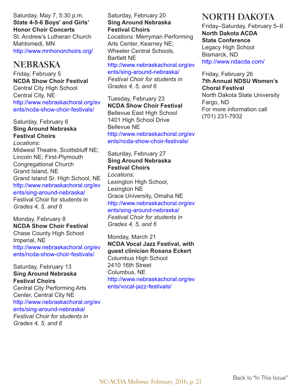Saturday, May 7, 5:30 p.m. **State 4-5-6 Boys' and Girls' Honor Choir Concerts** St. Andrew's Lutheran Church Mahtomedi, MN <http://www.mnhonorchoirs.org/>

#### **NEBRASKA**

Friday, February 5 **NCDA Show Choir Festival**  Central City High School Central City, NE [http://www.nebraskachoral.org/ev](http://www.nebraskachoral.org/events/ncda-show-choir-festivals/) [ents/ncda-show-choir-festivals/](http://www.nebraskachoral.org/events/ncda-show-choir-festivals/)

#### Saturday, February 6 **Sing Around Nebraska Festival Choirs**

*Locations:*  Midwest Theatre, Scottsbluff NE; Lincoln NE; First-Plymouth Congregational Church Grand Island, NE Grand Island Sr. High School, NE [http://www.nebraskachoral.org/ev](http://www.nebraskachoral.org/events/sing-around-nebraska/) [ents/sing-around-nebraska/](http://www.nebraskachoral.org/events/sing-around-nebraska/) Festival Choir for students in *Grades 4, 5, and 6*

#### Monday, February 8 **NCDA Show Choir Festival**  Chase County High School Imperial, NE [http://www.nebraskachoral.org/ev](http://www.nebraskachoral.org/events/ncda-show-choir-festivals/) [ents/ncda-show-choir-festivals/](http://www.nebraskachoral.org/events/ncda-show-choir-festivals/)

#### Saturday, February 13 **Sing Around Nebraska Festival Choirs**

Central City Performing Arts Center, Central City NE [http://www.nebraskachoral.org/ev](http://www.nebraskachoral.org/events/sing-around-nebraska/) [ents/sing-around-nebraska/](http://www.nebraskachoral.org/events/sing-around-nebraska/) *Festival Choir for students in*

*Grades 4, 5, and 6*

#### Saturday, February 20 **Sing Around Nebraska Festival Choirs**

*Locations:* Merryman Performing Arts Center, Kearney NE; Wheeler Central Schools, Bartlett NE

[http://www.nebraskachoral.org/ev](http://www.nebraskachoral.org/events/sing-around-nebraska/)

[ents/sing-around-nebraska/](http://www.nebraskachoral.org/events/sing-around-nebraska/) *Festival Choir for students in Grades 4, 5, and 6*

Tuesday, February 23 **NCDA Show Choir Festival**  Bellevue East High School 1401 High School Drive Bellevue NE [http://www.nebraskachoral.org/ev](http://www.nebraskachoral.org/events/sing-around-nebraska/) [ents/ncda-show-choir-festivals/](http://www.nebraskachoral.org/events/sing-around-nebraska/)

#### Saturday, February 27 **Sing Around Nebraska Festival Choirs** *Locations:*  Lexington High School, Lexington NE Grace University, Omaha NE [http://www.nebraskachoral.org/ev](http://www.nebraskachoral.org/events/sing-around-nebraska/) [ents/sing-around-nebraska/](http://www.nebraskachoral.org/events/sing-around-nebraska/) *Festival Choir for students in*

*Grades 4, 5, and 6*

Monday, March 21 **NCDA Vocal Jazz Festival, with guest clinician Rosana Eckert** Columbus High School 2410 16th Street Columbus, NE [http://www.nebraskachoral.org/ev](http://www.nebraskachoral.org/events/vocal-jazz-festivals/) [ents/vocal-jazz-festivals/](http://www.nebraskachoral.org/events/vocal-jazz-festivals/)

#### **NORTH DAKOTA**

Friday–Saturday, February 5–6 **North Dakota ACDA State Conference** Legacy High School Bismarck, ND <http://www.ndacda.com/>

Friday, February 26 **7th Annual NDSU Women's Choral Festival** North Dakota State University Fargo, ND For more information call (701) 231-7932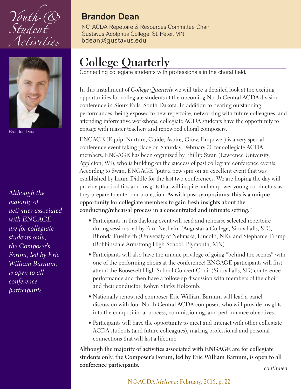<span id="page-21-0"></span>



Brandon Dean

*Although the majority of activities associated with ENGAGE are for collegiate students only, the Composer's Forum, led by Eric William Barnum, is open to all conference participants.* 

#### **Brandon Dean**

NC-ACDA Repetoire & Resources Committee Chair Gustavus Adolphus College, St. Peter, MN [bdean@gustavus.edu](mailto:bdean@gustavus.edu)

### **College Quarterly**

Connecting collegiate students with professionals in the choral field.

In this installment of *College Quarterly* we will take a detailed look at the exciting opportunities for collegiate students at the upcoming North Central ACDA division conference in Sioux Falls, South Dakota. In addition to hearing outstanding performances, being exposed to new repertoire, networking with future colleagues, and attending informative workshops, collegiate ACDA students have the opportunity to engage with master teachers and renowned choral composers.

ENGAGE (Equip, Nurture, Guide, Aspire, Grow, Empower) is a very special conference event taking place on Saturday, February 20 for collegiate ACDA members. ENGAGE has been organized by Phillip Swan (Lawrence University, Appleton, WI), who is building on the success of past collegiate conference events. According to Swan, ENGAGE "puts a new spin on an excellent event that was established by Laura Diddle for the last two conferences. We are hoping the day will provide practical tips and insights that will inspire and empower young conductors as they prepare to enter our profession. **As with past symposiums, this is a unique opportunity for collegiate members to gain fresh insights about the conducting/rehearsal process in a concentrated and intimate setting.**"

- Participants in this daylong event will read and rehearse selected repertoire during sessions led by Paul Nesheim (Augustana College, Sioux Falls, SD), Rhonda Fuelberth (University of Nebraska, Lincoln, NE), and Stephanie Trump (Robbinsdale Armstrong High School, Plymouth, MN).
- Participants will also have the unique privilege of going "behind the scenes" with one of the performing choirs at the conference! ENGAGE participants will first attend the Roosevelt High School Concert Choir (Sioux Falls, SD) conference performance and then have a follow-up discussion with members of the choir and their conductor, Robyn Starks Holcomb.
- Nationally renowned composer Eric William Barnum will lead a panel discussion with four North Central ACDA composers who will provide insights into the compositional process, commissioning, and performance objectives.
- Participants will have the opportunity to meet and interact with other collegiate ACDA students (and future colleagues), making professional and personal connections that will last a lifetime.

**Although the majority of activities associated with ENGAGE are for collegiate students only, the Composer's Forum, led by Eric William Barnum, is open to all conference participants.**

*continued*